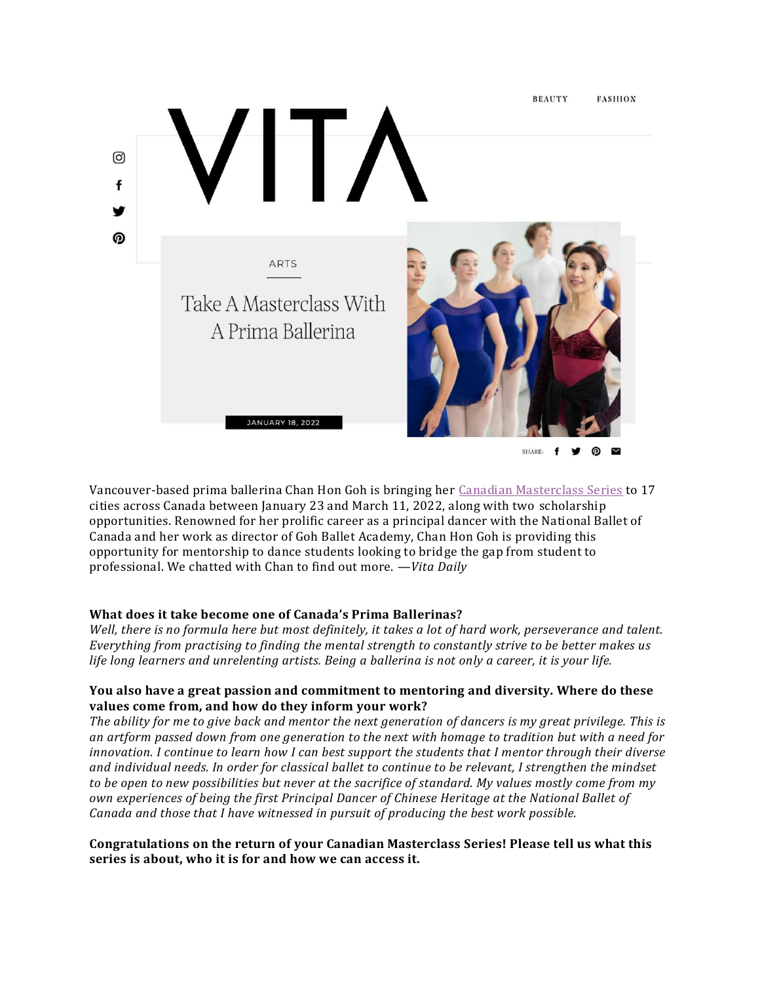

Vancouver-based prima ballerina Chan Hon Goh is bringing her Canadian [Masterclass](https://www.gohballet.com/programs/masterclasses/) Series to 17 cities across Canada between January 23 and March 11, 2022, along with two scholarship opportunities. Renowned for her prolific career as a principal dancer with the National Ballet of Canada and her work as director of Goh Ballet Academy, Chan Hon Goh is providing this opportunity for mentorship to dance students looking to bridge the gap from student to professional. We chatted with Chan to find out more. *—Vita Daily*

# **What does it take become one of Canada's Prima Ballerinas?**

Well, there is no formula here but most definitely, it takes a lot of hard work, perseverance and talent. *Everything from practising to finding the mental strength to constantly strive to be better makes us* life long learners and unrelenting artists. Being a ballerina is not only a career, it is your life.

## **You also have a great passion and commitment to mentoring and diversity. Where do these values come from, and how do they inform your work?**

The ability for me to give back and mentor the next generation of dancers is my great privilege. This is an artform passed down from one generation to the next with homage to tradition but with a need for innovation. I continue to learn how I can best support the students that I mentor through their diverse *and individual needs. In order for classical ballet to continue to be relevant, I strengthen the mindset* to be open to new possibilities but never at the sacrifice of standard. My values mostly come from my *own experiences of being the first Principal Dancer of Chinese Heritage at the National Ballet of Canada and those that I have witnessed in pursuit of producing the best work possible.*

### **Congratulations on the return of your Canadian Masterclass Series! Please tell us what this series is about, who it is for and how we can access it.**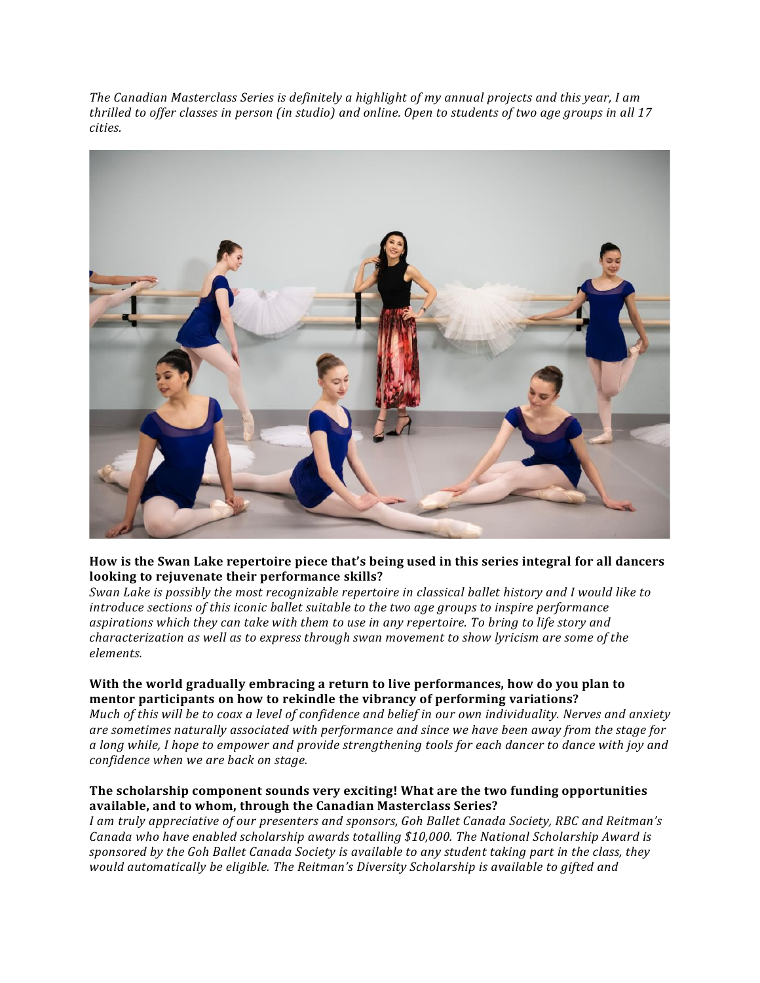*The Canadian Masterclass Series is definitely a highlight of my annual projects and this year, I am* thrilled to offer classes in person (in studio) and online. Open to students of two age groups in all 17 *cities.*



### **How is the Swan Lake repertoire piece that's being used in this series integral for all dancers looking to rejuvenate their performance skills?**

*Swan Lake is possibly the most recognizable repertoire in classical ballet history and I would like to introduce sections of this iconic ballet suitable to the two age groups to inspire performance aspirations which they can take with them to use in any repertoire. To bring to life story and characterization as well as to express through swan movement to show lyricism are some of the elements.*

## **With the world gradually embracing a return to live performances, how do you plan to mentor participants on how to rekindle the vibrancy of performing variations?**

Much of this will be to coax a level of confidence and belief in our own individuality. Nerves and anxiety *are sometimes naturally associated with performance and since we have been away from the stage for* a long while, I hope to empower and provide strengthening tools for each dancer to dance with joy and *confidence when we are back on stage.*

## **The scholarship component sounds very exciting! What are the two funding opportunities available, and to whom, through the Canadian Masterclass Series?**

*I am truly appreciative of our presenters and sponsors, Goh Ballet Canada Society, RBC and Reitman's Canada who have enabled scholarship awards totalling \$10,000. The National Scholarship Award is* sponsored by the Goh Ballet Canada Society is available to any student taking part in the class, they *would automatically be eligible. The Reitman's Diversity Scholarship is available to gifted and*